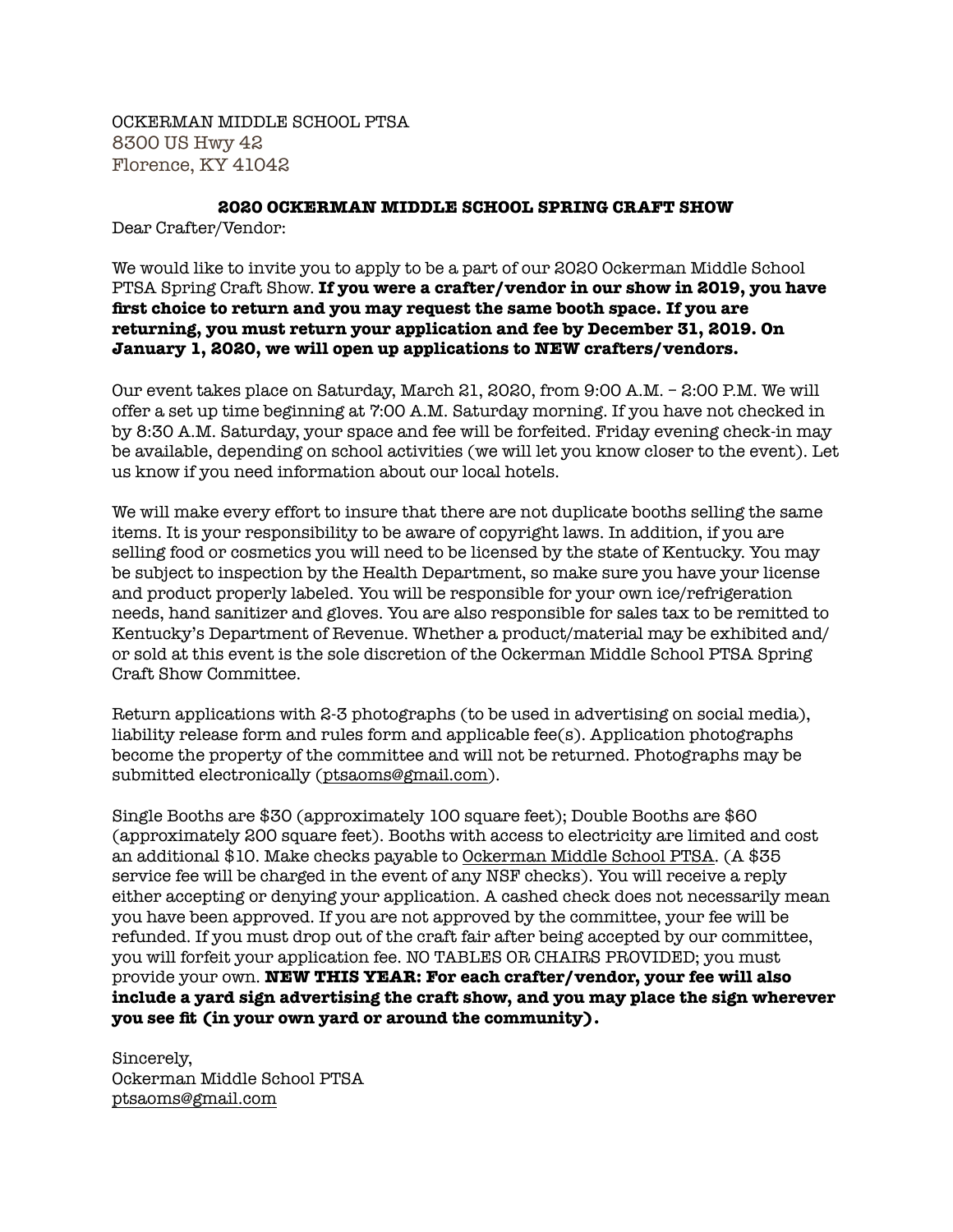OCKERMAN MIDDLE SCHOOL PTSA 8300 US Hwy 42 Florence, KY 41042

## **2020 OCKERMAN MIDDLE SCHOOL SPRING CRAFT SHOW**

Dear Crafter/Vendor:

We would like to invite you to apply to be a part of our 2020 Ockerman Middle School PTSA Spring Craft Show. **If you were a crafter/vendor in our show in 2019, you have first choice to return and you may request the same booth space. If you are returning, you must return your application and fee by December 31, 2019. On January 1, 2020, we will open up applications to NEW crafters/vendors.**

Our event takes place on Saturday, March 21, 2020, from 9:00 A.M. – 2:00 P.M. We will offer a set up time beginning at 7:00 A.M. Saturday morning. If you have not checked in by 8:30 A.M. Saturday, your space and fee will be forfeited. Friday evening check-in may be available, depending on school activities (we will let you know closer to the event). Let us know if you need information about our local hotels.

We will make every effort to insure that there are not duplicate booths selling the same items. It is your responsibility to be aware of copyright laws. In addition, if you are selling food or cosmetics you will need to be licensed by the state of Kentucky. You may be subject to inspection by the Health Department, so make sure you have your license and product properly labeled. You will be responsible for your own ice/refrigeration needs, hand sanitizer and gloves. You are also responsible for sales tax to be remitted to Kentucky's Department of Revenue. Whether a product/material may be exhibited and/ or sold at this event is the sole discretion of the Ockerman Middle School PTSA Spring Craft Show Committee.

Return applications with 2-3 photographs (to be used in advertising on social media), liability release form and rules form and applicable fee(s). Application photographs become the property of the committee and will not be returned. Photographs may be submitted electronically ([ptsaoms@gmail.com\)](mailto:ptsaoms@gmail.com).

Single Booths are \$30 (approximately 100 square feet); Double Booths are \$60 (approximately 200 square feet). Booths with access to electricity are limited and cost an additional \$10. Make checks payable to Ockerman Middle School PTSA. (A \$35 service fee will be charged in the event of any NSF checks). You will receive a reply either accepting or denying your application. A cashed check does not necessarily mean you have been approved. If you are not approved by the committee, your fee will be refunded. If you must drop out of the craft fair after being accepted by our committee, you will forfeit your application fee. NO TABLES OR CHAIRS PROVIDED; you must provide your own. **NEW THIS YEAR: For each crafter/vendor, your fee will also include a yard sign advertising the craft show, and you may place the sign wherever you see fit (in your own yard or around the community).**

Sincerely, Ockerman Middle School PTSA [ptsaoms@gmail.com](mailto:ptsaoms@gmail.com)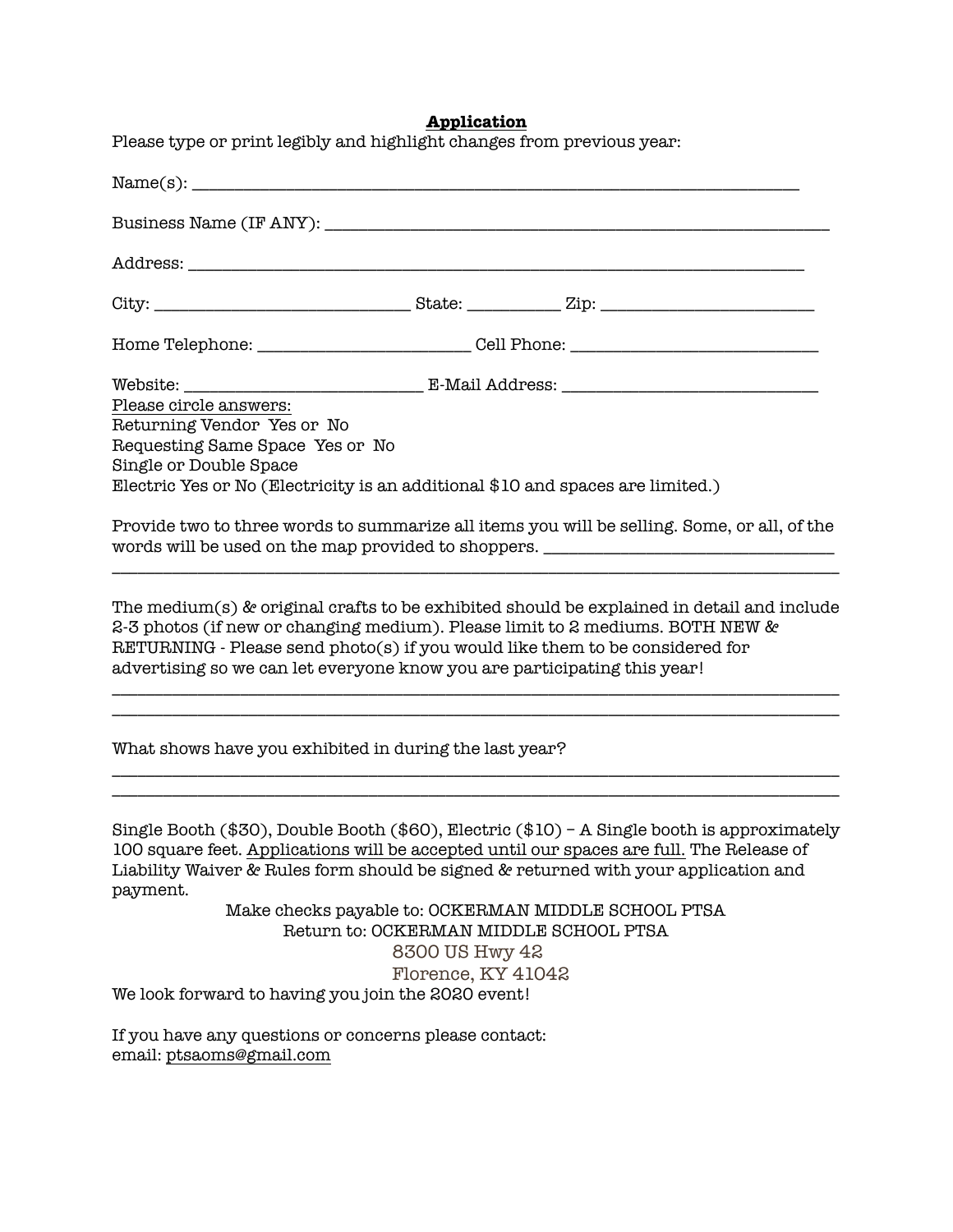## **Application**

| Please type or print legibly and highlight changes from previous year:<br>Name(s):                                                                                                                                                                                                                                                     |                                                                                             |
|----------------------------------------------------------------------------------------------------------------------------------------------------------------------------------------------------------------------------------------------------------------------------------------------------------------------------------------|---------------------------------------------------------------------------------------------|
|                                                                                                                                                                                                                                                                                                                                        |                                                                                             |
|                                                                                                                                                                                                                                                                                                                                        |                                                                                             |
|                                                                                                                                                                                                                                                                                                                                        |                                                                                             |
|                                                                                                                                                                                                                                                                                                                                        |                                                                                             |
|                                                                                                                                                                                                                                                                                                                                        |                                                                                             |
| Please circle answers:                                                                                                                                                                                                                                                                                                                 |                                                                                             |
| Returning Vendor Yes or No                                                                                                                                                                                                                                                                                                             |                                                                                             |
| Requesting Same Space Yes or No<br>Single or Double Space                                                                                                                                                                                                                                                                              |                                                                                             |
| Electric Yes or No (Electricity is an additional \$10 and spaces are limited.)                                                                                                                                                                                                                                                         |                                                                                             |
|                                                                                                                                                                                                                                                                                                                                        |                                                                                             |
|                                                                                                                                                                                                                                                                                                                                        | Provide two to three words to summarize all items you will be selling. Some, or all, of the |
| words will be used on the map provided to shoppers. ____________________________                                                                                                                                                                                                                                                       |                                                                                             |
|                                                                                                                                                                                                                                                                                                                                        |                                                                                             |
| The medium(s) & original crafts to be exhibited should be explained in detail and include<br>2-3 photos (if new or changing medium). Please limit to 2 mediums. BOTH NEW &<br>RETURNING - Please send photo(s) if you would like them to be considered for<br>advertising so we can let everyone know you are participating this year! |                                                                                             |
|                                                                                                                                                                                                                                                                                                                                        |                                                                                             |
| What shows have you exhibited in during the last year?                                                                                                                                                                                                                                                                                 |                                                                                             |
|                                                                                                                                                                                                                                                                                                                                        | Single Booth (\$30), Double Booth (\$60), Electric (\$10) - A Single booth is approximately |
|                                                                                                                                                                                                                                                                                                                                        | 100 square feet. Applications will be accepted until our spaces are full. The Release of    |
| payment.                                                                                                                                                                                                                                                                                                                               | Liability Waiver & Rules form should be signed & returned with your application and         |
|                                                                                                                                                                                                                                                                                                                                        | Make checks payable to: OCKERMAN MIDDLE SCHOOL PTSA                                         |
|                                                                                                                                                                                                                                                                                                                                        | Return to: OCKERMAN MIDDLE SCHOOL PTSA                                                      |
|                                                                                                                                                                                                                                                                                                                                        | 8300 US Hwy 42                                                                              |
|                                                                                                                                                                                                                                                                                                                                        | Florence, KY 41042                                                                          |
| We look forward to having you join the 2020 event!                                                                                                                                                                                                                                                                                     |                                                                                             |

If you have any questions or concerns please contact: email: [ptsaoms@gmail.com](mailto:ptsaoms@gmail.com)